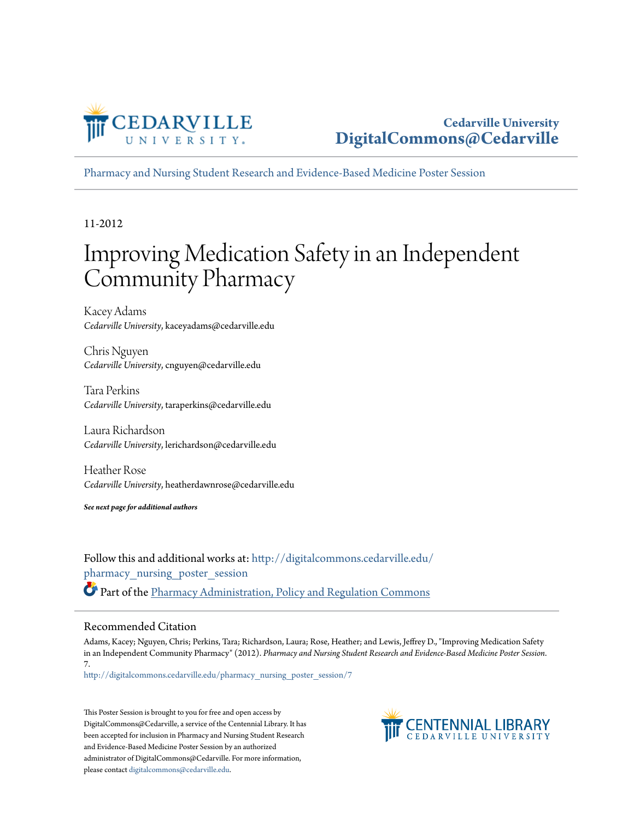

[Pharmacy and Nursing Student Research and Evidence-Based Medicine Poster Session](http://digitalcommons.cedarville.edu/pharmacy_nursing_poster_session?utm_source=digitalcommons.cedarville.edu%2Fpharmacy_nursing_poster_session%2F7&utm_medium=PDF&utm_campaign=PDFCoverPages)

11-2012

#### Improving Medication Safety in an Independent Community Pharmacy

Kacey Adams *Cedarville University*, kaceyadams@cedarville.edu

Chris Nguyen *Cedarville University*, cnguyen@cedarville.edu

Tara Perkins *Cedarville University*, taraperkins@cedarville.edu

Laura Richardson *Cedarville University*, lerichardson@cedarville.edu

Heather Rose *Cedarville University*, heatherdawnrose@cedarville.edu

*See next page for additional authors*

Follow this and additional works at: [http://digitalcommons.cedarville.edu/](http://digitalcommons.cedarville.edu/pharmacy_nursing_poster_session?utm_source=digitalcommons.cedarville.edu%2Fpharmacy_nursing_poster_session%2F7&utm_medium=PDF&utm_campaign=PDFCoverPages) [pharmacy\\_nursing\\_poster\\_session](http://digitalcommons.cedarville.edu/pharmacy_nursing_poster_session?utm_source=digitalcommons.cedarville.edu%2Fpharmacy_nursing_poster_session%2F7&utm_medium=PDF&utm_campaign=PDFCoverPages) Part of the [Pharmacy Administration, Policy and Regulation Commons](http://network.bepress.com/hgg/discipline/732?utm_source=digitalcommons.cedarville.edu%2Fpharmacy_nursing_poster_session%2F7&utm_medium=PDF&utm_campaign=PDFCoverPages)

#### Recommended Citation

Adams, Kacey; Nguyen, Chris; Perkins, Tara; Richardson, Laura; Rose, Heather; and Lewis, Jeffrey D., "Improving Medication Safety in an Independent Community Pharmacy" (2012). *Pharmacy and Nursing Student Research and Evidence-Based Medicine Poster Session*. 7.

[http://digitalcommons.cedarville.edu/pharmacy\\_nursing\\_poster\\_session/7](http://digitalcommons.cedarville.edu/pharmacy_nursing_poster_session/7?utm_source=digitalcommons.cedarville.edu%2Fpharmacy_nursing_poster_session%2F7&utm_medium=PDF&utm_campaign=PDFCoverPages)

This Poster Session is brought to you for free and open access by DigitalCommons@Cedarville, a service of the Centennial Library. It has been accepted for inclusion in Pharmacy and Nursing Student Research and Evidence-Based Medicine Poster Session by an authorized administrator of DigitalCommons@Cedarville. For more information, please contact [digitalcommons@cedarville.edu.](mailto:digitalcommons@cedarville.edu)

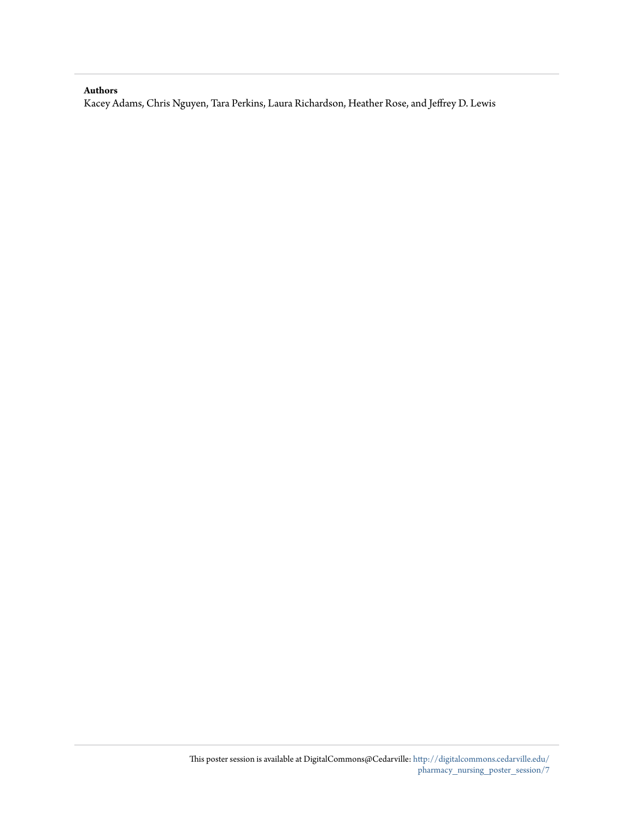#### **Authors**

Kacey Adams, Chris Nguyen, Tara Perkins, Laura Richardson, Heather Rose, and Jeffrey D. Lewis